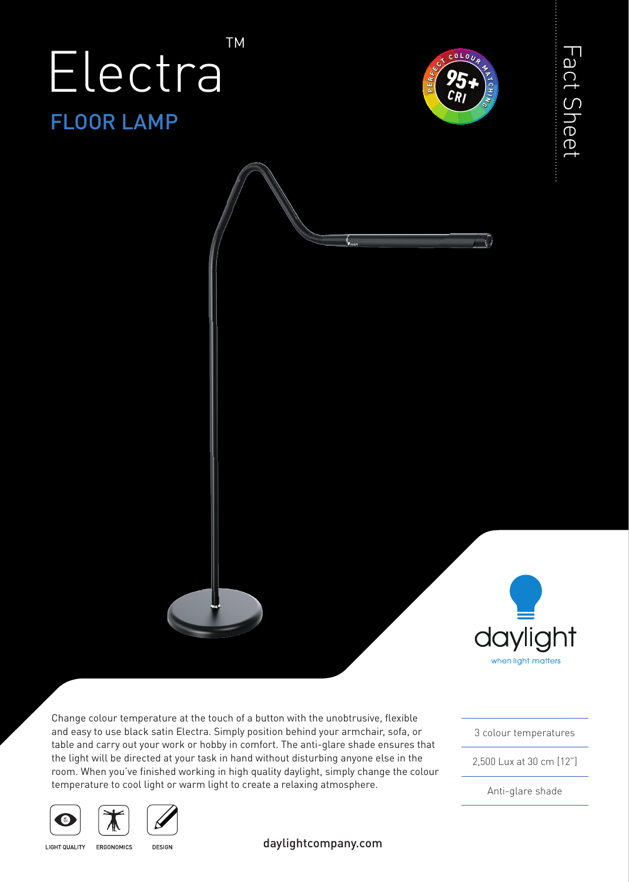## FLOOR LAMP Electra TM



Fact Sheet

Fact Sheet



Change colour temperature at the touch of a button with the unobtrusive, flexible and easy to use black satin Electra. Simply position behind your armchair, sofa, or table and carry out your work or hobby in comfort. The anti-glare shade ensures that the light will be directed at your task in hand without disturbing anyone else in the room. When you've finished working in high quality daylight, simply change the colour temperature to cool light or warm light to create a relaxing atmosphere.

3 colour temperatures

2,500 Lux at 30 cm [12"]

Anti-glare shade





**LIGHT QUALITY** ERGONOMICS

**DESIGN** 

daylightcompany.com